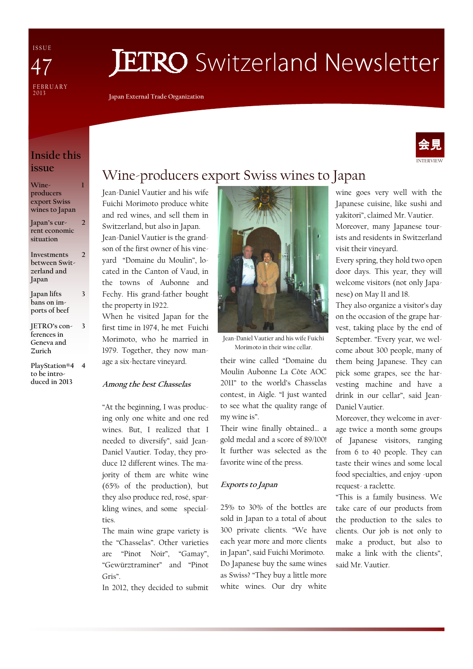I S S U E FEBRUARY<br>2013 47

# **JETRO** Switzerland Newsletter

Japan External Trade Organization

### Inside this issue

1

3

3

Wineproducers export Swiss wines to Japan

Japan's current economic situation 2

Investments between Switzerland and Japan  $\overline{2}$ 

Japan lifts bans on imports of beef

JETRO's conferences in Geneva and Zurich

PlayStation®4 4 to be introduced in 2013

### Wine-producers export Swiss wines to Japan

Jean-Daniel Vautier and his wife Fuichi Morimoto produce white and red wines, and sell them in Switzerland, but also in Japan. Jean-Daniel Vautier is the grandson of the first owner of his vineyard "Domaine du Moulin", located in the Canton of Vaud, in the towns of Aubonne and Fechy. His grand-father bought the property in 1922.

When he visited Japan for the first time in 1974, he met Fuichi Morimoto, who he married in 1979. Together, they now manage a six-hectare vineyard.

#### Among the best Chasselas

"At the beginning, I was producing only one white and one red wines. But, I realized that I needed to diversify", said Jean-Daniel Vautier. Today, they produce 12 different wines. The majority of them are white wine (65% of the production), but they also produce red, rosé, sparkling wines, and some specialties.

The main wine grape variety is the "Chasselas". Other varieties are "Pinot Noir", "Gamay", "Gewürztraminer" and "Pinot Gris".

In 2012, they decided to submit



Jean-Daniel Vautier and his wife Fuichi Morimoto in their wine cellar.

their wine called "Domaine du Moulin Aubonne La Côte AOC 2011" to the world's Chasselas contest, in Aigle. "I just wanted to see what the quality range of my wine is".

Their wine finally obtained… a gold medal and a score of 89/100! It further was selected as the favorite wine of the press.

#### Exports to Japan

25% to 30% of the bottles are sold in Japan to a total of about 300 private clients. "We have each year more and more clients in Japan", said Fuichi Morimoto. Do Japanese buy the same wines as Swiss? "They buy a little more white wines. Our dry white

wine goes very well with the Japanese cuisine, like sushi and yakitori", claimed Mr. Vautier.

Moreover, many Japanese tourists and residents in Switzerland visit their vineyard.

Every spring, they hold two open door days. This year, they will welcome visitors (not only Japanese) on May 11 and 18.

They also organize a visitor's day on the occasion of the grape harvest, taking place by the end of September. "Every year, we welcome about 300 people, many of them being Japanese. They can pick some grapes, see the harvesting machine and have a drink in our cellar", said Jean-Daniel Vautier.

Moreover, they welcome in average twice a month some groups of Japanese visitors, ranging from 6 to 40 people. They can taste their wines and some local food specialties, and enjoy -upon request- a raclette.

"This is a family business. We take care of our products from the production to the sales to clients. Our job is not only to make a product, but also to make a link with the clients", said Mr. Vautier.

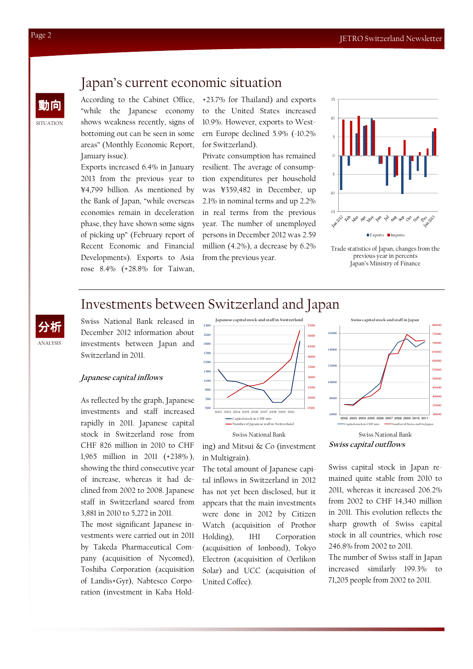### Japan's current economic situation

動向 According to the Cabinet Office, "while the Japanese economy shows weakness recently, signs of bottoming out can be seen in some areas" (Monthly Economic Report, January issue).

> Exports increased 6.4% in January 2013 from the previous year to ¥4,799 billion. As mentioned by the Bank of Japan, "while overseas economies remain in deceleration phase, they have shown some signs of picking up" (February report of Recent Economic and Financial Developments). Exports to Asia rose 8.4% (+28.8% for Taiwan,

+23.7% for Thailand) and exports to the United States increased 10.9%. However, exports to Western Europe declined 5.9% (-10.2% for Switzerland).

Private consumption has remained resilient. The average of consumption expenditures per household was ¥359,482 in December, up 2.1% in nominal terms and up 2.2% in real terms from the previous year. The number of unemployed persons in December 2012 was 2.59 million (4.2%), a decrease by 6.2% from the previous year.



Trade statistics of Japan, changes from the previous year in percents Japan's Ministry of Finance

### Investments between Switzerland and Japan

ANALYSIS 分析 Swiss National Bank released in December 2012 information about investments between Japan and Switzerland in 2011.

#### Japanese capital inflows

As reflected by the graph, Japanese investments and staff increased rapidly in 2011. Japanese capital stock in Switzerland rose from CHF 826 million in 2010 to CHF 1,965 million in 2011 (+238% ), showing the third consecutive year of increase, whereas it had declined from 2002 to 2008. Japanese staff in Switzerland soared from 3,881 in 2010 to 5,272 in 2011.

The most significant Japanese investments were carried out in 2011 by Takeda Pharmaceutical Company (acquisition of Nycomed), Toshiba Corporation (acquisition of Landis+Gyr), Nabtesco Corporation (investment in Kaba Hold-



#### ing) and Mitsui & Co (investment in Multigrain).

The total amount of Japanese capital inflows in Switzerland in 2012 has not yet been disclosed, but it appears that the main investments were done in 2012 by Citizen Watch (acquisition of Prothor Holding), IHI Corporation (acquisition of Ionbond), Tokyo Electron (acquisition of Oerlikon Solar) and UCC (acquisition of United Coffee).





Swiss capital stock in Japan remained quite stable from 2010 to 2011, whereas it increased 206.2% from 2002 to CHF 14,340 million in 2011. This evolution reflects the sharp growth of Swiss capital stock in all countries, which rose 246.8% from 2002 to 2011.

The number of Swiss staff in Japan increased similarly 199.3% to 71,205 people from 2002 to 2011.

SITUATION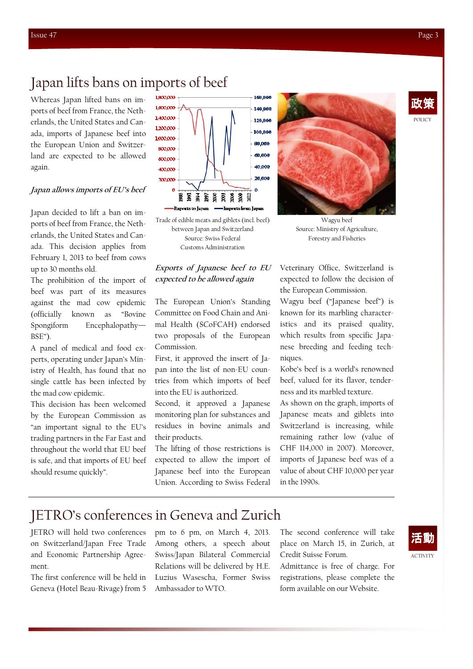POLICY 政策

### Japan lifts bans on imports of beef

Whereas Japan lifted bans on imports of beef from France, the Netherlands, the United States and Canada, imports of Japanese beef into the European Union and Switzerland are expected to be allowed again.

#### Japan allows imports of EU's beef

Japan decided to lift a ban on imports of beef from France, the Netherlands, the United States and Canada. This decision applies from February 1, 2013 to beef from cows up to 30 months old.

The prohibition of the import of beef was part of its measures against the mad cow epidemic (officially known as "Bovine Spongiform Encephalopathy— BSE").

A panel of medical and food experts, operating under Japan's Ministry of Health, has found that no single cattle has been infected by the mad cow epidemic.

This decision has been welcomed by the European Commission as "an important signal to the EU's trading partners in the Far East and throughout the world that EU beef is safe, and that imports of EU beef should resume quickly".



Trade of edible meats and giblets (incl. beef) between Japan and Switzerland Source: Swiss Federal Customs Administration

### Exports of Japanese beef to EU expected to be allowed again

The European Union's Standing Committee on Food Chain and Animal Health (SCoFCAH) endorsed two proposals of the European Commission.

First, it approved the insert of Japan into the list of non-EU countries from which imports of beef into the EU is authorized.

Second, it approved a Japanese monitoring plan for substances and residues in bovine animals and their products.

The lifting of those restrictions is expected to allow the import of Japanese beef into the European Union. According to Swiss Federal



Wagyu beef Source: Ministry of Agriculture, Forestry and Fisheries

Veterinary Office, Switzerland is expected to follow the decision of the European Commission.

Wagyu beef ("Japanese beef") is known for its marbling characteristics and its praised quality, which results from specific Japanese breeding and feeding techniques.

Kobe's beef is a world's renowned beef, valued for its flavor, tenderness and its marbled texture.

As shown on the graph, imports of Japanese meats and giblets into Switzerland is increasing, while remaining rather low (value of CHF 114,000 in 2007). Moreover, imports of Japanese beef was of a value of about CHF 10,000 per year in the 1990s.

### JETRO's conferences in Geneva and Zurich

JETRO will hold two conferences on Switzerland/Japan Free Trade and Economic Partnership Agreement.

The first conference will be held in Geneva (Hotel Beau-Rivage) from 5 pm to 6 pm, on March 4, 2013. Among others, a speech about Swiss/Japan Bilateral Commercial Relations will be delivered by H.E. Luzius Wasescha, Former Swiss Ambassador to WTO.

The second conference will take place on March 15, in Zurich, at Credit Suisse Forum.

Admittance is free of charge. For registrations, please complete the form available on our Website.